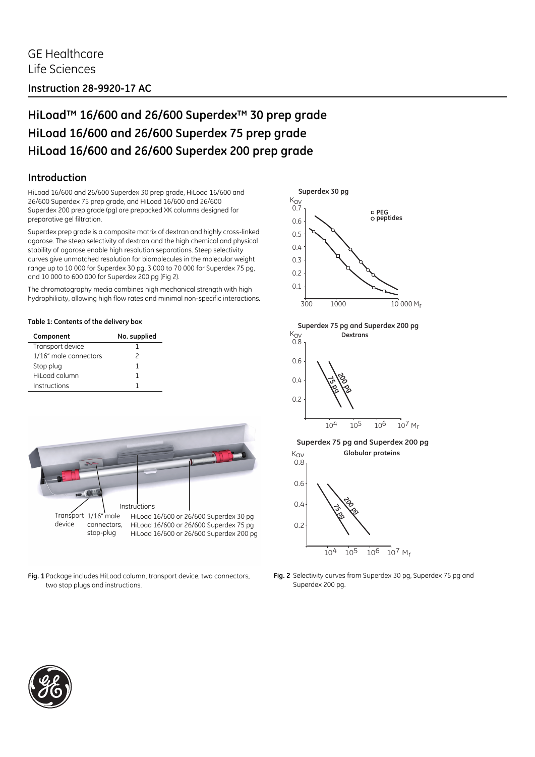## **HiLoad™ 16/600 and 26/600 Superdex™ 30 prep grade HiLoad 16/600 and 26/600 Superdex 75 prep grade HiLoad 16/600 and 26/600 Superdex 200 prep grade**

### **Introduction**

HiLoad 16/600 and 26/600 Superdex 30 prep grade, HiLoad 16/600 and 26/600 Superdex 75 prep grade, and HiLoad 16/600 and 26/600 Superdex 200 prep grade (pg) are prepacked XK columns designed for preparative gel filtration.

Superdex prep grade is a composite matrix of dextran and highly cross-linked agarose. The steep selectivity of dextran and the high chemical and physical stability of agarose enable high resolution separations. Steep selectivity curves give unmatched resolution for biomolecules in the molecular weight range up to 10 000 for Superdex 30 pg, 3 000 to 70 000 for Superdex 75 pg, and 10 000 to 600 000 for Superdex 200 pg [\(Fig 2](#page-0-0)).

The chromatography media combines high mechanical strength with high hydrophilicity, allowing high flow rates and minimal non-specific interactions.

#### **Table 1: Contents of the delivery box**

| Component             | No. supplied |
|-----------------------|--------------|
| Transport device      |              |
| 1/16" male connectors | 2            |
| Stop plug             | 1            |
| Hil oad column        | 1            |
| Instructions          |              |



**Fig. 1** Package includes HiLoad column, transport device, two connectors, two stop plugs and instructions.





<span id="page-0-0"></span>**Fig. 2** Selectivity curves from Superdex 30 pg, Superdex 75 pg and Superdex 200 pg.

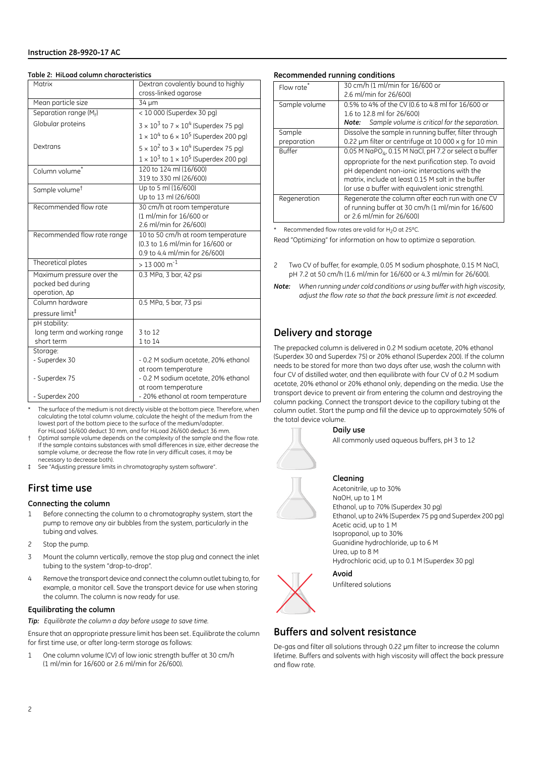#### **Table 2: HiLoad column characteristics**

| Matrix                                                          | Dextran covalently bound to highly<br>cross-linked agarose                                             |  |
|-----------------------------------------------------------------|--------------------------------------------------------------------------------------------------------|--|
| Mean particle size                                              | 34 µm                                                                                                  |  |
| Separation range (M <sub>r</sub> )                              | < 10 000 (Superdex 30 pg)                                                                              |  |
| Globular proteins                                               | $3 \times 10^3$ to $7 \times 10^4$ (Superdex 75 pg)                                                    |  |
|                                                                 | $1 \times 10^4$ to $6 \times 10^5$ (Superdex 200 pg)                                                   |  |
| Dextrans                                                        | $5 \times 10^2$ to $3 \times 10^4$ (Superdex 75 pg)                                                    |  |
|                                                                 | $1 \times 10^3$ to $1 \times 10^5$ (Superdex 200 pg)                                                   |  |
| Column volume <sup>*</sup>                                      | 120 to 124 ml (16/600)<br>319 to 330 ml (26/600)                                                       |  |
| Sample volume <sup>t</sup>                                      | Up to 5 ml (16/600)<br>Up to 13 ml (26/600)                                                            |  |
| Recommended flow rate                                           | 30 cm/h at room temperature<br>(1 ml/min for 16/600 or<br>2.6 ml/min for 26/600)                       |  |
| Recommended flow rate range                                     | 10 to 50 cm/h at room temperature<br>(0.3 to 1.6 ml/min for 16/600 or<br>0.9 to 4.4 ml/min for 26/600) |  |
| Theoretical plates                                              | $>$ 13 000 m <sup>-1</sup>                                                                             |  |
| Maximum pressure over the<br>packed bed during<br>operation, Ap | 0.3 MPa, 3 bar, 42 psi                                                                                 |  |
| Column hardware                                                 | 0.5 MPa, 5 bar, 73 psi                                                                                 |  |
| pressure limit <sup>‡</sup>                                     |                                                                                                        |  |
| pH stability:                                                   |                                                                                                        |  |
| long term and working range<br>short term                       | 3 to 12<br>1 to 14                                                                                     |  |
| Storage:                                                        |                                                                                                        |  |
| - Superdex 30                                                   | - 0.2 M sodium acetate, 20% ethanol                                                                    |  |
|                                                                 | at room temperature                                                                                    |  |
| - Superdex 75                                                   | - 0.2 M sodium acetate, 20% ethanol                                                                    |  |
| - Superdex 200                                                  | at room temperature<br>- 20% ethanol at room temperature                                               |  |

The surface of the medium is not directly visible at the bottom piece. Therefore, when calculating the total column volume, calculate the height of the medium from the lowest part of the bottom piece to the surface of the medium/adapter. For HiLoad 16/600 deduct 30 mm, and for HiLoad 26/600 deduct 36 mm.

† Optimal sample volume depends on the complexity of the sample and the flow rate. If the sample contains substances with small differences in size, either decrease the sample volume, or decrease the flow rate (in very difficult cases, it may be necessary to decrease both).

See ["Adjusting pressure limits in chromatography system software".](#page-3-0)

### **First time use**

#### **Connecting the column**

- 1 Before connecting the column to a chromatography system, start the pump to remove any air bubbles from the system, particularly in the tubing and valves.
- 2 Stop the pump.
- 3 Mount the column vertically, remove the stop plug and connect the inlet tubing to the system "drop-to-drop".
- 4 Remove the transport device and connect the column outlet tubing to, for example, a monitor cell. Save the transport device for use when storing the column. The column is now ready for use.

#### **Equilibrating the column**

*Tip: Equilibrate the column a day before usage to save time.*

Ensure that an appropriate pressure limit has been set. Equilibrate the column for first time use, or after long-term storage as follows:

1 One column volume (CV) of low ionic strength buffer at 30 cm/h (1 ml/min for 16/600 or 2.6 ml/min for 26/600).

#### <span id="page-1-0"></span>**Recommended running conditions**

| Flow rate     | 30 cm/h (1 ml/min for 16/600 or                                   |
|---------------|-------------------------------------------------------------------|
|               | 2.6 ml/min for 26/600)                                            |
| Sample volume | 0.5% to 4% of the CV (0.6 to 4.8 ml for 16/600 or                 |
|               | 1.6 to 12.8 ml for 26/600)                                        |
|               | Sample volume is critical for the separation.<br>Note:            |
| Sample        | Dissolve the sample in running buffer, filter through             |
| preparation   | 0.22 um filter or centrifuge at 10 000 x g for 10 min             |
| <b>Buffer</b> | 0.05 M NaPO <sub>4</sub> , 0.15 M NaCl, pH 7.2 or select a buffer |
|               | appropriate for the next purification step. To avoid              |
|               | pH dependent non-ionic interactions with the                      |
|               | matrix, include at least 0.15 M salt in the buffer                |
|               | (or use a buffer with equivalent ionic strength).                 |
| Regeneration  | Regenerate the column after each run with one CV                  |
|               | of running buffer at 30 cm/h (1 ml/min for 16/600                 |
|               | or 2.6 ml/min for 26/600)                                         |

Recommended flow rates are valid for H<sub>2</sub>O at 25°C.

Read "Optimizing" for information on how to optimize a separation.

- 2 Two CV of buffer, for example, 0.05 M sodium phosphate, 0.15 M NaCl, pH 7.2 at 50 cm/h (1.6 ml/min for 16/600 or 4.3 ml/min for 26/600).
- *Note: When running under cold conditions or using buffer with high viscosity, adjust the flow rate so that the back pressure limit is not exceeded.*

### **Delivery and storage**

The prepacked column is delivered in 0.2 M sodium acetate, 20% ethanol (Superdex 30 and Superdex 75) or 20% ethanol (Superdex 200). If the column needs to be stored for more than two days after use, wash the column with four CV of distilled water, and then equilibrate with four CV of 0.2 M sodium acetate, 20% ethanol or 20% ethanol only, depending on the media. Use the transport device to prevent air from entering the column and destroying the column packing. Connect the transport device to the capillary tubing at the column outlet. Start the pump and fill the device up to approximately 50% of the total device volume.



#### **Daily use**

All commonly used aqueous buffers, pH 3 to 12

#### **Cleaning**

Acetonitrile, up to 30% NaOH, up to 1 M Ethanol, up to 70% (Superdex 30 pg) Ethanol, up to 24% (Superdex 75 pg and Superdex 200 pg) Acetic acid, up to 1 M Isopropanol, up to 30% Guanidine hydrochloride, up to 6 M Urea, up to 8 M Hydrochloric acid, up to 0.1 M (Superdex 30 pg)

### **Avoid** Unfiltered solutions

### **Buffers and solvent resistance**

De-gas and filter all solutions through 0.22 μm filter to increase the column lifetime. Buffers and solvents with high viscosity will affect the back pressure and flow rate.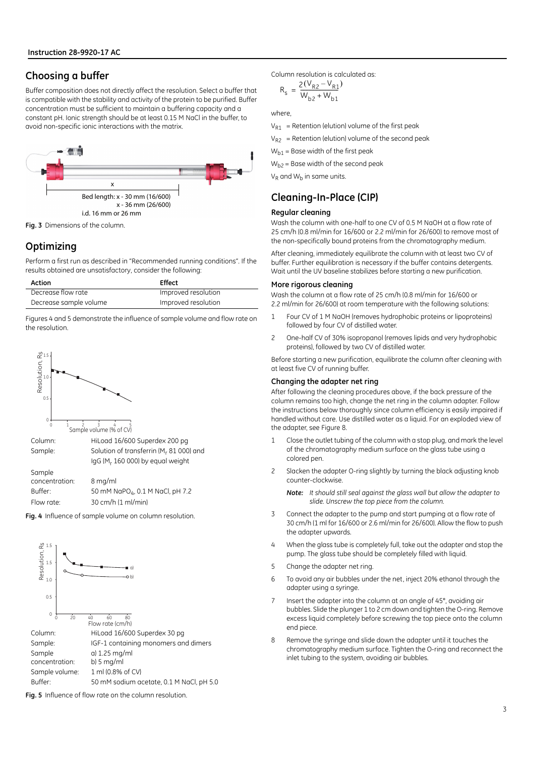### **Choosing a buffer**

Buffer composition does not directly affect the resolution. Select a buffer that is compatible with the stability and activity of the protein to be purified. Buffer concentration must be sufficient to maintain a buffering capacity and a constant pH. Ionic strength should be at least 0.15 M NaCl in the buffer, to avoid non-specific ionic interactions with the matrix.



**Fig. 3** Dimensions of the column.

### **Optimizing**

Perform a first run as described in ["Recommended running conditions"](#page-1-0). If the results obtained are unsatisfactory, consider the following:

| Action                 | <b>Effect</b>       |
|------------------------|---------------------|
| Decrease flow rate     | Improved resolution |
| Decrease sample volume | Improved resolution |

Figures 4 and 5 demonstrate the influence of sample volume and flow rate on the resolution.



**Fig. 4** Influence of sample volume on column resolution.



**Fig. 5** Influence of flow rate on the column resolution.

Column resolution is calculated as:

$$
R_{s} = \frac{2(V_{R2} - V_{R1})}{W_{b2} + W_{b1}}
$$

where,

 $V_{R1}$  = Retention (elution) volume of the first peak

 $V_{R2}$  = Retention (elution) volume of the second peak

 $W_{h1}$  = Base width of the first peak

 $W_{h2}$  = Base width of the second peak

 $V_{\rm p}$  and  $W_{\rm b}$  in same units.

### <span id="page-2-0"></span>**Cleaning-In-Place (CIP)**

#### **Regular cleaning**

Wash the column with one-half to one CV of 0.5 M NaOH at a flow rate of 25 cm/h (0.8 ml/min for 16/600 or 2.2 ml/min for 26/600) to remove most of the non-specifically bound proteins from the chromatography medium.

After cleaning, immediately equilibrate the column with at least two CV of buffer. Further equilibration is necessary if the buffer contains detergents. Wait until the UV baseline stabilizes before starting a new purification.

#### **More rigorous cleaning**

Wash the column at a flow rate of 25 cm/h (0.8 ml/min for 16/600 or 2.2 ml/min for 26/600) at room temperature with the following solutions:

- 1 Four CV of 1 M NaOH (removes hydrophobic proteins or lipoproteins) followed by four CV of distilled water.
- 2 One-half CV of 30% isopropanol (removes lipids and very hydrophobic proteins), followed by two CV of distilled water.

Before starting a new purification, equilibrate the column after cleaning with at least five CV of running buffer.

#### **Changing the adapter net ring**

After following the cleaning procedures above, if the back pressure of the column remains too high, change the net ring in the column adapter. Follow the instructions below thoroughly since column efficiency is easily impaired if handled without care. Use distilled water as a liquid. For an exploded view of the adapter, see [Figure 8.](#page-4-0)

- 1 Close the outlet tubing of the column with a stop plug, and mark the level of the chromatography medium surface on the glass tube using a colored pen.
- 2 Slacken the adapter O-ring slightly by turning the black adjusting knob counter-clockwise.

*Note: It should still seal against the glass wall but allow the adapter to slide. Unscrew the top piece from the column.*

- 3 Connect the adapter to the pump and start pumping at a flow rate of 30 cm/h (1 ml for 16/600 or 2.6 ml/min for 26/600). Allow the flow to push the adapter upwards.
- 4 When the glass tube is completely full, take out the adapter and stop the pump. The glass tube should be completely filled with liquid.
- 5 Change the adapter net ring.
- 6 To avoid any air bubbles under the net, inject 20% ethanol through the adapter using a syringe.
- 7 Insert the adapter into the column at an angle of 45°, avoiding air bubbles. Slide the plunger 1 to 2 cm down and tighten the O-ring. Remove excess liquid completely before screwing the top piece onto the column end piece.
- 8 Remove the syringe and slide down the adapter until it touches the chromatography medium surface. Tighten the O-ring and reconnect the inlet tubing to the system, avoiding air bubbles.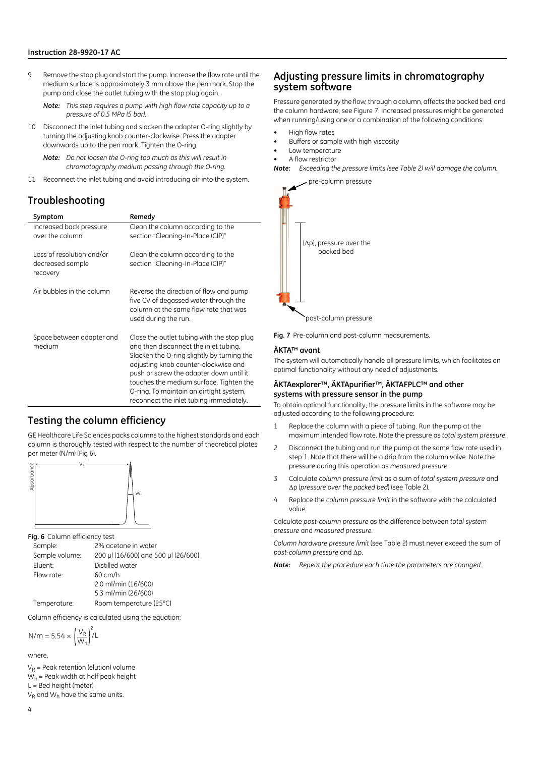9 Remove the stop plug and start the pump. Increase the flow rate until the medium surface is approximately 3 mm above the pen mark. Stop the pump and close the outlet tubing with the stop plug again.

*Note: This step requires a pump with high flow rate capacity up to a pressure of 0.5 MPa (5 bar).*

10 Disconnect the inlet tubing and slacken the adapter O-ring slightly by turning the adjusting knob counter-clockwise. Press the adapter downwards up to the pen mark. Tighten the O-ring.

*Note: Do not loosen the O-ring too much as this will result in chromatography medium passing through the O-ring.*

11 Reconnect the inlet tubing and avoid introducing air into the system.

### **Troubleshooting**

| Symptom                                                   | Remedy                                                                                                                                                                                                                                                                                                                                                |
|-----------------------------------------------------------|-------------------------------------------------------------------------------------------------------------------------------------------------------------------------------------------------------------------------------------------------------------------------------------------------------------------------------------------------------|
| Increased back pressure<br>over the column                | Clean the column according to the<br>section "Cleaning-In-Place (CIP)"                                                                                                                                                                                                                                                                                |
| Loss of resolution and/or<br>decreased sample<br>recovery | Clean the column according to the<br>section "Cleaning-In-Place (CIP)"                                                                                                                                                                                                                                                                                |
| Air bubbles in the column                                 | Reverse the direction of flow and pump<br>five CV of degassed water through the<br>column at the same flow rate that was<br>used during the run.                                                                                                                                                                                                      |
| Space between adapter and<br>medium                       | Close the outlet tubing with the stop plug<br>and then disconnect the inlet tubing.<br>Slacken the O-ring slightly by turning the<br>adjusting knob counter-clockwise and<br>push or screw the adapter down until it<br>touches the medium surface. Tighten the<br>O-ring. To maintain an airtight system,<br>reconnect the inlet tubing immediately. |

### **Testing the column efficiency**

GE Healthcare Life Sciences packs columns to the highest standards and each column is thoroughly tested with respect to the number of theoretical plates per meter (N/m) (Fig 6).



**Fig. 6** Column efficiency test

| Sample:        | 2% acetone in water                 |
|----------------|-------------------------------------|
| Sample volume: | 200 µl (16/600) and 500 µl (26/600) |
| Eluent:        | Distilled water                     |
| Flow rate:     | $60 \text{ cm/h}$                   |
|                | 2.0 ml/min (16/600)                 |
|                | 5.3 ml/min (26/600)                 |
| Temperature:   | Room temperature (25°C)             |

Column efficiency is calculated using the equation:

$$
N/m = 5.54 \times \left(\frac{V_R}{W_h}\right)^2/L
$$

where,

 $V_R$  = Peak retention (elution) volume  $W_h$  = Peak width at half peak height  $L =$  Bed height (meter)  $V_R$  and  $W_h$  have the same units.

### <span id="page-3-0"></span>**Adjusting pressure limits in chromatography system software**

Pressure generated by the flow, through a column, affects the packed bed, and the column hardware, see [Figure 7](#page-3-1). Increased pressures might be generated when running/using one or a combination of the following conditions:

- High flow rates
- Buffers or sample with high viscosity
- Low temperature
- A flow restrictor

*Note: Exceeding the pressure limits (see Table 2) will damage the column.*

pre-column pressure



post-column pressure

<span id="page-3-1"></span>**Fig. 7** Pre-column and post-column measurements.

#### **ÄKTA™ avant**

The system will automatically handle all pressure limits, which facilitates an optimal functionality without any need of adjustments.

#### **ÄKTAexplorer™, ÄKTApurifier™, ÄKTAFPLC™ and other systems with pressure sensor in the pump**

To obtain optimal functionality, the pressure limits in the software may be adjusted according to the following procedure:

- 1 Replace the column with a piece of tubing. Run the pump at the maximum intended flow rate. Note the pressure as *total system pressure*.
- 2 Disconnect the tubing and run the pump at the same flow rate used in step 1. Note that there will be a drip from the column valve. Note the pressure during this operation as *measured pressure*.
- 3 Calculate *column pressure limit* as a sum of *total system pressure* and Δp (*pressure over the packed bed*) (see Table 2).
- 4 Replace the *column pressure limit* in the software with the calculated value.

Calculate *post-column pressure* as the difference between *total system pressure* and *measured pressure*.

*Column hardware pressure limit* (see Table 2) must never exceed the sum of *post-column pressure* and Δp.

*Note: Repeat the procedure each time the parameters are changed.*

4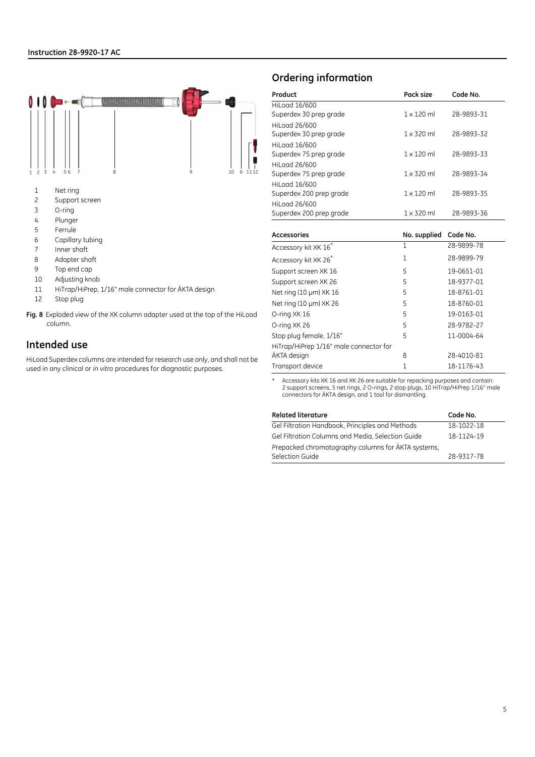

- 2 Support screen
- 3 O-ring
- 4 Plunger
- 5 Ferrule
- 6 Capillary tubing
- 7 Inner shaft
- 8 Adapter shaft
- 9 Top end cap
- 10 Adjusting knob
- 11 HiTrap/HiPrep, 1/16" male connector for ÄKTA design
- 12 Stop plug
- <span id="page-4-0"></span>**Fig. 8** Exploded view of the XK column adapter used at the top of the HiLoad column.

### **Intended use**

HiLoad Superdex columns are intended for research use only, and shall not be used in any clinical or *in vitro* procedures for diagnostic purposes.

### **Ordering information**

| Product                 | Pack size         | Code No.   |
|-------------------------|-------------------|------------|
| HiLoad 16/600           |                   |            |
| Superdex 30 prep grade  | $1 \times 120$ ml | 28-9893-31 |
| HiLogd 26/600           |                   |            |
| Superdex 30 prep grade  | $1 \times 320$ ml | 28-9893-32 |
| HiLogd 16/600           |                   |            |
| Superdex 75 prep grade  | $1 \times 120$ ml | 28-9893-33 |
| HiLogd 26/600           |                   |            |
| Superdex 75 prep grade  | $1 \times 320$ ml | 28-9893-34 |
| HiLogd 16/600           |                   |            |
| Superdex 200 prep grade | $1 \times 120$ ml | 28-9893-35 |
| HiLogd 26/600           |                   |            |
| Superdex 200 prep grade | $1 \times 320$ ml | 28-9893-36 |
| Accessories             | No supplied       | Code No    |

| <b>Accessories</b>                     | No. supplied | Code No.   |
|----------------------------------------|--------------|------------|
| Accessory kit XK 16*                   | 1            | 28-9899-78 |
| Accessory kit XK 26*                   | 1            | 28-9899-79 |
| Support screen XK 16                   | 5            | 19-0651-01 |
| Support screen XK 26                   | 5            | 18-9377-01 |
| Net ring (10 µm) XK 16                 | 5            | 18-8761-01 |
| Net ring (10 µm) XK 26                 | 5            | 18-8760-01 |
| O-ring XK 16                           | 5            | 19-0163-01 |
| O-ring XK 26                           | 5            | 28-9782-27 |
| Stop plug female, 1/16"                | 5            | 11-0004-64 |
| HiTrap/HiPrep 1/16" male connector for |              |            |
| ÄKTA design                            | 8            | 28-4010-81 |
| Transport device                       | 1            | 18-1176-43 |

\* Accessory kits XK 16 and XK 26 are suitable for repacking purposes and contain: 2 support screens, 5 net rings, 2 O-rings, 2 stop plugs, 10 HiTrap/HiPrep 1/16" male connectors for ÄKTA design, and 1 tool for dismantling.

| <b>Related literature</b>                          | Code No.   |
|----------------------------------------------------|------------|
| Gel Filtration Handbook, Principles and Methods    | 18-1022-18 |
| Gel Filtration Columns and Media, Selection Guide  | 18-1124-19 |
| Prepacked chromatography columns for AKTA systems, |            |
| Selection Guide                                    | 28-9317-78 |